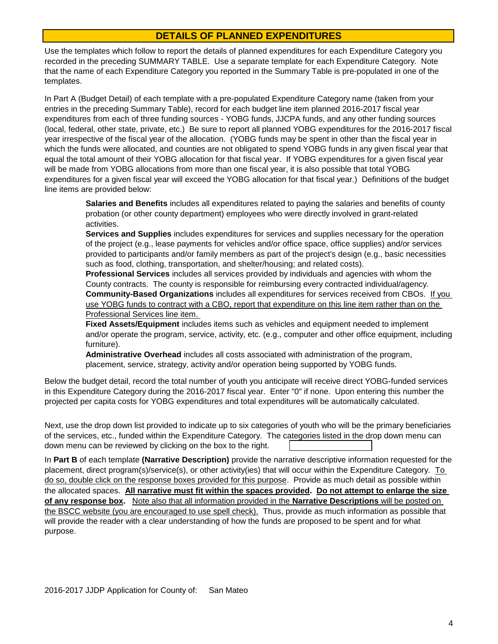## **DETAILS OF PLANNED EXPENDITURES**

Use the templates which follow to report the details of planned expenditures for each Expenditure Category you recorded in the preceding SUMMARY TABLE. Use a separate template for each Expenditure Category. Note that the name of each Expenditure Category you reported in the Summary Table is pre-populated in one of the templates.

In Part A (Budget Detail) of each template with a pre-populated Expenditure Category name (taken from your entries in the preceding Summary Table), record for each budget line item planned 2016-2017 fiscal year expenditures from each of three funding sources - YOBG funds, JJCPA funds, and any other funding sources (local, federal, other state, private, etc.) Be sure to report all planned YOBG expenditures for the 2016-2017 fiscal year irrespective of the fiscal year of the allocation. (YOBG funds may be spent in other than the fiscal year in which the funds were allocated, and counties are not obligated to spend YOBG funds in any given fiscal year that equal the total amount of their YOBG allocation for that fiscal year. If YOBG expenditures for a given fiscal year will be made from YOBG allocations from more than one fiscal year, it is also possible that total YOBG expenditures for a given fiscal year will exceed the YOBG allocation for that fiscal year.) Definitions of the budget line items are provided below:

**Salaries and Benefits** includes all expenditures related to paying the salaries and benefits of county probation (or other county department) employees who were directly involved in grant-related activities.

**Services and Supplies** includes expenditures for services and supplies necessary for the operation of the project (e.g., lease payments for vehicles and/or office space, office supplies) and/or services provided to participants and/or family members as part of the project's design (e.g., basic necessities such as food, clothing, transportation, and shelter/housing; and related costs).

**Professional Services** includes all services provided by individuals and agencies with whom the County contracts. The county is responsible for reimbursing every contracted individual/agency. **Community-Based Organizations** includes all expenditures for services received from CBOs. If you use YOBG funds to contract with a CBO, report that expenditure on this line item rather than on the Professional Services line item.

**Fixed Assets/Equipment** includes items such as vehicles and equipment needed to implement and/or operate the program, service, activity, etc. (e.g., computer and other office equipment, including furniture).

**Administrative Overhead** includes all costs associated with administration of the program, placement, service, strategy, activity and/or operation being supported by YOBG funds.

Below the budget detail, record the total number of youth you anticipate will receive direct YOBG-funded services in this Expenditure Category during the 2016-2017 fiscal year. Enter "0" if none. Upon entering this number the projected per capita costs for YOBG expenditures and total expenditures will be automatically calculated.

down menu can be reviewed by clicking on the box to the right. Next, use the drop down list provided to indicate up to six categories of youth who will be the primary beneficiaries of the services, etc., funded within the Expenditure Category. The categories listed in the drop down menu can

In **Part B** of each template **(Narrative Description)** provide the narrative descriptive information requested for the placement, direct program(s)/service(s), or other activity(ies) that will occur within the Expenditure Category. To do so, double click on the response boxes provided for this purpose. Provide as much detail as possible within the allocated spaces. **All narrative must fit within the spaces provided. Do not attempt to enlarge the size of any response box.** Note also that all information provided in the **Narrative Descriptions** will be posted on the BSCC website (you are encouraged to use spell check). Thus, provide as much information as possible that will provide the reader with a clear understanding of how the funds are proposed to be spent and for what purpose.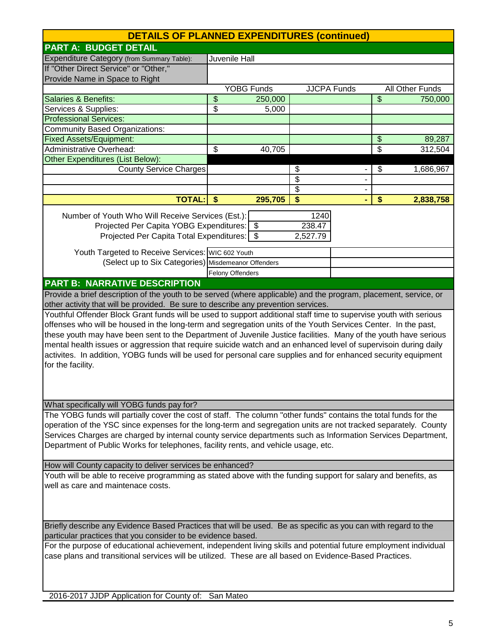| <b>DETAILS OF PLANNED EXPENDITURES (continued)</b>                                                                |               |                   |                         |  |                          |                 |
|-------------------------------------------------------------------------------------------------------------------|---------------|-------------------|-------------------------|--|--------------------------|-----------------|
| <b>PART A: BUDGET DETAIL</b>                                                                                      |               |                   |                         |  |                          |                 |
| Expenditure Category (from Summary Table):                                                                        | Juvenile Hall |                   |                         |  |                          |                 |
| If "Other Direct Service" or "Other,"                                                                             |               |                   |                         |  |                          |                 |
| Provide Name in Space to Right                                                                                    |               |                   |                         |  |                          |                 |
|                                                                                                                   |               | <b>YOBG Funds</b> | <b>JJCPA Funds</b>      |  |                          | All Other Funds |
| <b>Salaries &amp; Benefits:</b>                                                                                   | \$            | 250,000           |                         |  | $\overline{\mathcal{S}}$ | 750,000         |
| Services & Supplies:                                                                                              | \$            | 5,000             |                         |  |                          |                 |
| <b>Professional Services:</b>                                                                                     |               |                   |                         |  |                          |                 |
| <b>Community Based Organizations:</b>                                                                             |               |                   |                         |  |                          |                 |
| <b>Fixed Assets/Equipment:</b>                                                                                    |               |                   |                         |  | \$                       | 89,287          |
| <b>Administrative Overhead:</b>                                                                                   | \$            | 40,705            |                         |  | $\overline{\$}$          | 312,504         |
| <b>Other Expenditures (List Below):</b>                                                                           |               |                   |                         |  |                          |                 |
| <b>County Service Charges</b>                                                                                     |               |                   | \$                      |  | \$                       | 1,686,967       |
|                                                                                                                   |               |                   | $\overline{\$}$         |  |                          |                 |
|                                                                                                                   |               |                   | $\overline{\$}$         |  |                          |                 |
| <b>TOTAL:</b>                                                                                                     | \$            | 295,705           | $\overline{\mathbf{s}}$ |  | \$                       | 2,838,758       |
|                                                                                                                   |               |                   |                         |  |                          |                 |
| Number of Youth Who Will Receive Services (Est.):                                                                 |               |                   | 1240                    |  |                          |                 |
| Projected Per Capita YOBG Expenditures: \$                                                                        |               |                   | 238.47                  |  |                          |                 |
| Projected Per Capita Total Expenditures:   \$                                                                     |               |                   | 2,527.79                |  |                          |                 |
| Youth Targeted to Receive Services: WIC 602 Youth                                                                 |               |                   |                         |  |                          |                 |
| (Select up to Six Categories) Misdemeanor Offenders                                                               |               |                   |                         |  |                          |                 |
|                                                                                                                   |               | Felony Offenders  |                         |  |                          |                 |
| <b>PART B: NARRATIVE DESCRIPTION</b>                                                                              |               |                   |                         |  |                          |                 |
| Provide a brief description of the youth to be served (where applicable) and the program, placement, service, or  |               |                   |                         |  |                          |                 |
| other activity that will be provided. Be sure to describe any prevention services.                                |               |                   |                         |  |                          |                 |
| Youthful Offender Block Grant funds will be used to support additional staff time to supervise youth with serious |               |                   |                         |  |                          |                 |
| offenses who will be housed in the long-term and segregation units of the Youth Services Center. In the past,     |               |                   |                         |  |                          |                 |
| these youth may have been sent to the Department of Juvenile Justice facilities. Many of the youth have serious   |               |                   |                         |  |                          |                 |
| mental health issues or aggression that require suicide watch and an enhanced level of supervisoin during daily   |               |                   |                         |  |                          |                 |
| activites. In addition, YOBG funds will be used for personal care supplies and for enhanced security equipment    |               |                   |                         |  |                          |                 |
| for the facility.                                                                                                 |               |                   |                         |  |                          |                 |
|                                                                                                                   |               |                   |                         |  |                          |                 |
|                                                                                                                   |               |                   |                         |  |                          |                 |
|                                                                                                                   |               |                   |                         |  |                          |                 |
| What specifically will YOBG funds pay for?                                                                        |               |                   |                         |  |                          |                 |
| The YOBG funds will partially cover the cost of staff. The column "other funds" contains the total funds for the  |               |                   |                         |  |                          |                 |
| operation of the YSC since expenses for the long-term and segregation units are not tracked separately. County    |               |                   |                         |  |                          |                 |
| Services Charges are charged by internal county service departments such as Information Services Department,      |               |                   |                         |  |                          |                 |
| Department of Public Works for telephones, facility rents, and vehicle usage, etc.                                |               |                   |                         |  |                          |                 |
|                                                                                                                   |               |                   |                         |  |                          |                 |
| How will County capacity to deliver services be enhanced?                                                         |               |                   |                         |  |                          |                 |
| Youth will be able to receive programming as stated above with the funding support for salary and benefits, as    |               |                   |                         |  |                          |                 |
| well as care and maintenace costs.                                                                                |               |                   |                         |  |                          |                 |
|                                                                                                                   |               |                   |                         |  |                          |                 |
|                                                                                                                   |               |                   |                         |  |                          |                 |
|                                                                                                                   |               |                   |                         |  |                          |                 |
| Briefly describe any Evidence Based Practices that will be used. Be as specific as you can with regard to the     |               |                   |                         |  |                          |                 |
| particular practices that you consider to be evidence based.                                                      |               |                   |                         |  |                          |                 |
| For the purpose of educational achievement, independent living skills and potential future employment individual  |               |                   |                         |  |                          |                 |
| case plans and transitional services will be utilized. These are all based on Evidence-Based Practices.           |               |                   |                         |  |                          |                 |
|                                                                                                                   |               |                   |                         |  |                          |                 |
|                                                                                                                   |               |                   |                         |  |                          |                 |
|                                                                                                                   |               |                   |                         |  |                          |                 |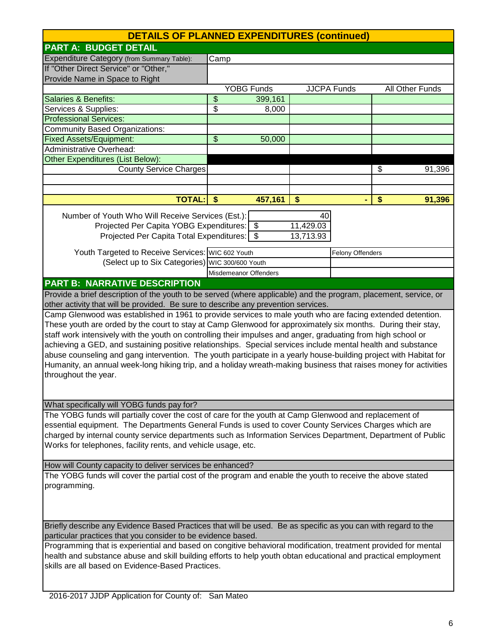| <b>DETAILS OF PLANNED EXPENDITURES (continued)</b>                                                                |                                                                                                               |                       |           |                    |    |                 |
|-------------------------------------------------------------------------------------------------------------------|---------------------------------------------------------------------------------------------------------------|-----------------------|-----------|--------------------|----|-----------------|
| <b>PART A: BUDGET DETAIL</b>                                                                                      |                                                                                                               |                       |           |                    |    |                 |
| Expenditure Category (from Summary Table):                                                                        | Camp                                                                                                          |                       |           |                    |    |                 |
| If "Other Direct Service" or "Other,"                                                                             |                                                                                                               |                       |           |                    |    |                 |
| Provide Name in Space to Right                                                                                    |                                                                                                               |                       |           |                    |    |                 |
|                                                                                                                   |                                                                                                               | <b>YOBG Funds</b>     |           | <b>JJCPA</b> Funds |    | All Other Funds |
| <b>Salaries &amp; Benefits:</b>                                                                                   | \$                                                                                                            | 399,161               |           |                    |    |                 |
| Services & Supplies:                                                                                              | \$                                                                                                            | 8,000                 |           |                    |    |                 |
| <b>Professional Services:</b>                                                                                     |                                                                                                               |                       |           |                    |    |                 |
| <b>Community Based Organizations:</b>                                                                             |                                                                                                               |                       |           |                    |    |                 |
| <b>Fixed Assets/Equipment:</b>                                                                                    | \$                                                                                                            | 50,000                |           |                    |    |                 |
| <b>Administrative Overhead:</b>                                                                                   |                                                                                                               |                       |           |                    |    |                 |
| Other Expenditures (List Below):                                                                                  |                                                                                                               |                       |           |                    |    |                 |
| <b>County Service Charges</b>                                                                                     |                                                                                                               |                       |           |                    | \$ | 91,396          |
|                                                                                                                   |                                                                                                               |                       |           |                    |    |                 |
|                                                                                                                   |                                                                                                               |                       |           |                    |    |                 |
| <b>TOTAL:</b>                                                                                                     | $\mathbf{\hat{S}}$                                                                                            | 457,161               | \$        |                    | \$ | 91,396          |
| Number of Youth Who Will Receive Services (Est.):                                                                 |                                                                                                               |                       | 40        |                    |    |                 |
| Projected Per Capita YOBG Expenditures: \$                                                                        |                                                                                                               |                       | 11,429.03 |                    |    |                 |
| Projected Per Capita Total Expenditures: \$                                                                       |                                                                                                               |                       | 13,713.93 |                    |    |                 |
|                                                                                                                   |                                                                                                               |                       |           |                    |    |                 |
| Youth Targeted to Receive Services: WIC 602 Youth                                                                 |                                                                                                               |                       |           | Felony Offenders   |    |                 |
| (Select up to Six Categories) WIC 300/600 Youth                                                                   |                                                                                                               |                       |           |                    |    |                 |
|                                                                                                                   |                                                                                                               | Misdemeanor Offenders |           |                    |    |                 |
| <b>PART B: NARRATIVE DESCRIPTION</b>                                                                              |                                                                                                               |                       |           |                    |    |                 |
| Provide a brief description of the youth to be served (where applicable) and the program, placement, service, or  |                                                                                                               |                       |           |                    |    |                 |
| other activity that will be provided. Be sure to describe any prevention services.                                |                                                                                                               |                       |           |                    |    |                 |
| Camp Glenwood was established in 1961 to provide services to male youth who are facing extended detention.        |                                                                                                               |                       |           |                    |    |                 |
| These youth are orded by the court to stay at Camp Glenwood for approximately six months. During their stay,      |                                                                                                               |                       |           |                    |    |                 |
| staff work intensively with the youth on controlling their impulses and anger, graduating from high school or     |                                                                                                               |                       |           |                    |    |                 |
| achieving a GED, and sustaining positive relationships. Special services include mental health and substance      |                                                                                                               |                       |           |                    |    |                 |
| abuse counseling and gang intervention. The youth participate in a yearly house-building project with Habitat for |                                                                                                               |                       |           |                    |    |                 |
| Humanity, an annual week-long hiking trip, and a holiday wreath-making business that raises money for activities  |                                                                                                               |                       |           |                    |    |                 |
| throughout the year.                                                                                              |                                                                                                               |                       |           |                    |    |                 |
|                                                                                                                   |                                                                                                               |                       |           |                    |    |                 |
|                                                                                                                   |                                                                                                               |                       |           |                    |    |                 |
| What specifically will YOBG funds pay for?                                                                        |                                                                                                               |                       |           |                    |    |                 |
| The YOBG funds will partially cover the cost of care for the youth at Camp Glenwood and replacement of            |                                                                                                               |                       |           |                    |    |                 |
| essential equipment. The Departments General Funds is used to cover County Services Charges which are             |                                                                                                               |                       |           |                    |    |                 |
| charged by internal county service departments such as Information Services Department, Department of Public      |                                                                                                               |                       |           |                    |    |                 |
| Works for telephones, facility rents, and vehicle usage, etc.                                                     |                                                                                                               |                       |           |                    |    |                 |
| How will County capacity to deliver services be enhanced?                                                         |                                                                                                               |                       |           |                    |    |                 |
| The YOBG funds will cover the partial cost of the program and enable the youth to receive the above stated        |                                                                                                               |                       |           |                    |    |                 |
| programming.                                                                                                      |                                                                                                               |                       |           |                    |    |                 |
|                                                                                                                   |                                                                                                               |                       |           |                    |    |                 |
|                                                                                                                   |                                                                                                               |                       |           |                    |    |                 |
|                                                                                                                   |                                                                                                               |                       |           |                    |    |                 |
|                                                                                                                   | Briefly describe any Evidence Based Practices that will be used. Be as specific as you can with regard to the |                       |           |                    |    |                 |
| particular practices that you consider to be evidence based.                                                      |                                                                                                               |                       |           |                    |    |                 |
| Programming that is experiential and based on congitive behavioral modification, treatment provided for mental    |                                                                                                               |                       |           |                    |    |                 |
| health and substance abuse and skill building efforts to help youth obtan educational and practical employment    |                                                                                                               |                       |           |                    |    |                 |
| skills are all based on Evidence-Based Practices.                                                                 |                                                                                                               |                       |           |                    |    |                 |
|                                                                                                                   |                                                                                                               |                       |           |                    |    |                 |
|                                                                                                                   |                                                                                                               |                       |           |                    |    |                 |
| 2016-2017 JJDP Application for County of: San Mateo                                                               |                                                                                                               |                       |           |                    |    |                 |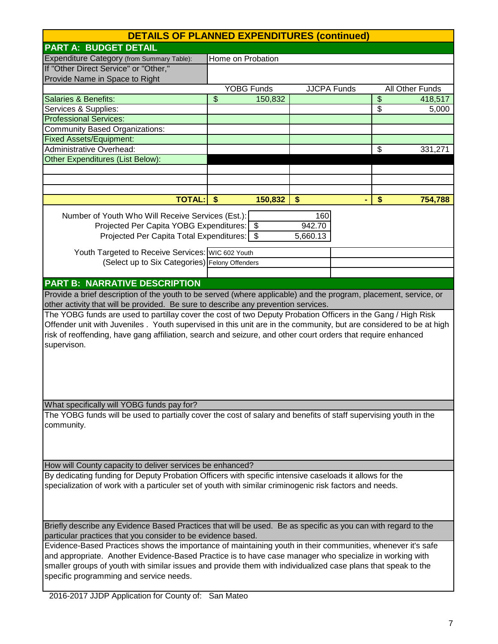| <b>DETAILS OF PLANNED EXPENDITURES (continued)</b>                                                                                                                                                                                                                                                                                                                                 |                    |                   |                    |  |                          |                 |
|------------------------------------------------------------------------------------------------------------------------------------------------------------------------------------------------------------------------------------------------------------------------------------------------------------------------------------------------------------------------------------|--------------------|-------------------|--------------------|--|--------------------------|-----------------|
| <b>PART A: BUDGET DETAIL</b>                                                                                                                                                                                                                                                                                                                                                       |                    |                   |                    |  |                          |                 |
| Expenditure Category (from Summary Table):                                                                                                                                                                                                                                                                                                                                         | Home on Probation  |                   |                    |  |                          |                 |
| If "Other Direct Service" or "Other,"                                                                                                                                                                                                                                                                                                                                              |                    |                   |                    |  |                          |                 |
| Provide Name in Space to Right                                                                                                                                                                                                                                                                                                                                                     |                    |                   |                    |  |                          |                 |
|                                                                                                                                                                                                                                                                                                                                                                                    |                    | <b>YOBG Funds</b> | <b>JJCPA Funds</b> |  |                          | All Other Funds |
| <b>Salaries &amp; Benefits:</b>                                                                                                                                                                                                                                                                                                                                                    | \$                 | 150,832           |                    |  | $\overline{\mathcal{S}}$ | 418,517         |
| Services & Supplies:                                                                                                                                                                                                                                                                                                                                                               |                    |                   |                    |  | $\overline{\mathcal{S}}$ | 5,000           |
| <b>Professional Services:</b>                                                                                                                                                                                                                                                                                                                                                      |                    |                   |                    |  |                          |                 |
| <b>Community Based Organizations:</b>                                                                                                                                                                                                                                                                                                                                              |                    |                   |                    |  |                          |                 |
| <b>Fixed Assets/Equipment:</b><br>Administrative Overhead:                                                                                                                                                                                                                                                                                                                         |                    |                   |                    |  | \$                       |                 |
| Other Expenditures (List Below):                                                                                                                                                                                                                                                                                                                                                   |                    |                   |                    |  |                          | 331,271         |
|                                                                                                                                                                                                                                                                                                                                                                                    |                    |                   |                    |  |                          |                 |
|                                                                                                                                                                                                                                                                                                                                                                                    |                    |                   |                    |  |                          |                 |
|                                                                                                                                                                                                                                                                                                                                                                                    |                    |                   |                    |  |                          |                 |
| <b>TOTAL:</b>                                                                                                                                                                                                                                                                                                                                                                      | $\mathbf{\hat{S}}$ | 150,832           | \$                 |  | \$                       | 754,788         |
|                                                                                                                                                                                                                                                                                                                                                                                    |                    |                   |                    |  |                          |                 |
| Number of Youth Who Will Receive Services (Est.):                                                                                                                                                                                                                                                                                                                                  |                    |                   | 160<br>942.70      |  |                          |                 |
| Projected Per Capita YOBG Expenditures: \$<br>Projected Per Capita Total Expenditures:   \$                                                                                                                                                                                                                                                                                        |                    |                   | 5,660.13           |  |                          |                 |
|                                                                                                                                                                                                                                                                                                                                                                                    |                    |                   |                    |  |                          |                 |
| Youth Targeted to Receive Services: WIC 602 Youth                                                                                                                                                                                                                                                                                                                                  |                    |                   |                    |  |                          |                 |
| (Select up to Six Categories) Felony Offenders                                                                                                                                                                                                                                                                                                                                     |                    |                   |                    |  |                          |                 |
|                                                                                                                                                                                                                                                                                                                                                                                    |                    |                   |                    |  |                          |                 |
| <b>PART B: NARRATIVE DESCRIPTION</b>                                                                                                                                                                                                                                                                                                                                               |                    |                   |                    |  |                          |                 |
| Provide a brief description of the youth to be served (where applicable) and the program, placement, service, or                                                                                                                                                                                                                                                                   |                    |                   |                    |  |                          |                 |
| other activity that will be provided. Be sure to describe any prevention services.                                                                                                                                                                                                                                                                                                 |                    |                   |                    |  |                          |                 |
| The YOBG funds are used to partillay cover the cost of two Deputy Probation Officers in the Gang / High Risk<br>Offender unit with Juveniles. Youth supervised in this unit are in the community, but are considered to be at high<br>risk of reoffending, have gang affiliation, search and seizure, and other court orders that require enhanced<br>supervison.                  |                    |                   |                    |  |                          |                 |
| What specifically will YOBG funds pay for?                                                                                                                                                                                                                                                                                                                                         |                    |                   |                    |  |                          |                 |
|                                                                                                                                                                                                                                                                                                                                                                                    |                    |                   |                    |  |                          |                 |
| The YOBG funds will be used to partially cover the cost of salary and benefits of staff supervising youth in the<br>community.                                                                                                                                                                                                                                                     |                    |                   |                    |  |                          |                 |
| How will County capacity to deliver services be enhanced?                                                                                                                                                                                                                                                                                                                          |                    |                   |                    |  |                          |                 |
| By dedicating funding for Deputy Probation Officers with specific intensive caseloads it allows for the                                                                                                                                                                                                                                                                            |                    |                   |                    |  |                          |                 |
| specialization of work with a particuler set of youth with similar criminogenic risk factors and needs.                                                                                                                                                                                                                                                                            |                    |                   |                    |  |                          |                 |
| Briefly describe any Evidence Based Practices that will be used. Be as specific as you can with regard to the<br>particular practices that you consider to be evidence based.                                                                                                                                                                                                      |                    |                   |                    |  |                          |                 |
| Evidence-Based Practices shows the importance of maintaining youth in their communities, whenever it's safe<br>and appropriate. Another Evidence-Based Practice is to have case manager who specialize in working with<br>smaller groups of youth with similar issues and provide them with individualized case plans that speak to the<br>specific programming and service needs. |                    |                   |                    |  |                          |                 |

2016-2017 JJDP Application for County of: San Mateo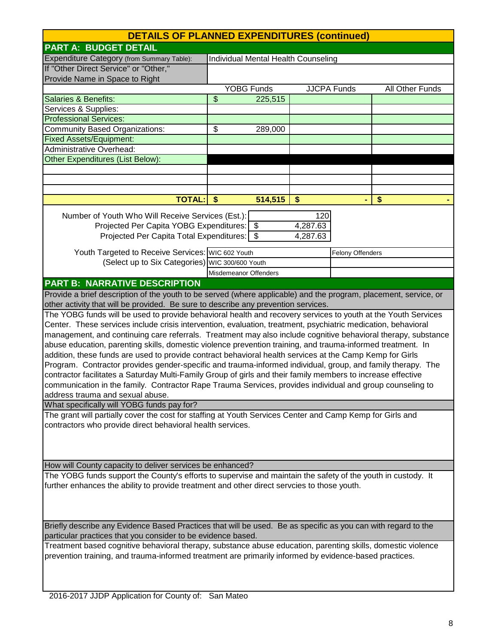| <b>DETAILS OF PLANNED EXPENDITURES (continued)</b>                                                               |                       |                                            |          |                    |                 |
|------------------------------------------------------------------------------------------------------------------|-----------------------|--------------------------------------------|----------|--------------------|-----------------|
| <b>PART A: BUDGET DETAIL</b>                                                                                     |                       |                                            |          |                    |                 |
| Expenditure Category (from Summary Table):                                                                       |                       | <b>Individual Mental Health Counseling</b> |          |                    |                 |
| If "Other Direct Service" or "Other,"                                                                            |                       |                                            |          |                    |                 |
| Provide Name in Space to Right                                                                                   |                       |                                            |          |                    |                 |
|                                                                                                                  |                       | <b>YOBG Funds</b>                          |          | <b>JJCPA Funds</b> | All Other Funds |
| Salaries & Benefits:                                                                                             | \$                    | 225,515                                    |          |                    |                 |
| Services & Supplies:                                                                                             |                       |                                            |          |                    |                 |
| <b>Professional Services:</b>                                                                                    |                       |                                            |          |                    |                 |
| Community Based Organizations:                                                                                   | \$                    | 289,000                                    |          |                    |                 |
| <b>Fixed Assets/Equipment:</b>                                                                                   |                       |                                            |          |                    |                 |
| <b>Administrative Overhead:</b>                                                                                  |                       |                                            |          |                    |                 |
| <b>Other Expenditures (List Below):</b>                                                                          |                       |                                            |          |                    |                 |
|                                                                                                                  |                       |                                            |          |                    |                 |
|                                                                                                                  |                       |                                            |          |                    |                 |
|                                                                                                                  |                       |                                            |          |                    |                 |
| <b>TOTAL:</b>                                                                                                    | $\sqrt[6]{3}$         | 514,515                                    | \$       |                    | \$              |
| Number of Youth Who Will Receive Services (Est.):                                                                |                       |                                            | 120      |                    |                 |
| Projected Per Capita YOBG Expenditures: \$                                                                       |                       |                                            | 4,287.63 |                    |                 |
| Projected Per Capita Total Expenditures:   \$                                                                    |                       |                                            | 4,287.63 |                    |                 |
|                                                                                                                  |                       |                                            |          |                    |                 |
| Youth Targeted to Receive Services: WIC 602 Youth                                                                |                       |                                            |          | Felony Offenders   |                 |
| (Select up to Six Categories) WIC 300/600 Youth                                                                  |                       |                                            |          |                    |                 |
|                                                                                                                  | Misdemeanor Offenders |                                            |          |                    |                 |
| <b>PART B: NARRATIVE DESCRIPTION</b>                                                                             |                       |                                            |          |                    |                 |
| Provide a brief description of the youth to be served (where applicable) and the program, placement, service, or |                       |                                            |          |                    |                 |
| other activity that will be provided. Be sure to describe any prevention services.                               |                       |                                            |          |                    |                 |
| The YOBG funds will be used to provide behavioral health and recovery services to youth at the Youth Services    |                       |                                            |          |                    |                 |
| Center. These services include crisis intervention, evaluation, treatment, psychiatric medication, behavioral    |                       |                                            |          |                    |                 |
| management, and continuing care referrals. Treatment may also include cognitive behavioral therapy, substance    |                       |                                            |          |                    |                 |
| abuse education, parenting skills, domestic violence prevention training, and trauma-informed treatment. In      |                       |                                            |          |                    |                 |
| addition, these funds are used to provide contract behavioral health services at the Camp Kemp for Girls         |                       |                                            |          |                    |                 |
| Program. Contractor provides gender-specific and trauma-informed individual, group, and family therapy. The      |                       |                                            |          |                    |                 |
| contractor facilitates a Saturday Multi-Family Group of girls and their family members to increase effective     |                       |                                            |          |                    |                 |
| communication in the family. Contractor Rape Trauma Services, provides individual and group counseling to        |                       |                                            |          |                    |                 |
| address trauma and sexual abuse.                                                                                 |                       |                                            |          |                    |                 |
| What specifically will YOBG funds pay for?                                                                       |                       |                                            |          |                    |                 |
| The grant will partially cover the cost for staffing at Youth Services Center and Camp Kemp for Girls and        |                       |                                            |          |                    |                 |
| contractors who provide direct behavioral health services.                                                       |                       |                                            |          |                    |                 |
|                                                                                                                  |                       |                                            |          |                    |                 |
|                                                                                                                  |                       |                                            |          |                    |                 |
| How will County capacity to deliver services be enhanced?                                                        |                       |                                            |          |                    |                 |
| The YOBG funds support the County's efforts to supervise and maintain the safety of the youth in custody. It     |                       |                                            |          |                    |                 |
| further enhances the ability to provide treatment and other direct servcies to those youth.                      |                       |                                            |          |                    |                 |
|                                                                                                                  |                       |                                            |          |                    |                 |
|                                                                                                                  |                       |                                            |          |                    |                 |
|                                                                                                                  |                       |                                            |          |                    |                 |
| Briefly describe any Evidence Based Practices that will be used. Be as specific as you can with regard to the    |                       |                                            |          |                    |                 |
| particular practices that you consider to be evidence based.                                                     |                       |                                            |          |                    |                 |
| Treatment based cognitive behavioral therapy, substance abuse education, parenting skills, domestic violence     |                       |                                            |          |                    |                 |
| prevention training, and trauma-informed treatment are primarily informed by evidence-based practices.           |                       |                                            |          |                    |                 |
|                                                                                                                  |                       |                                            |          |                    |                 |
|                                                                                                                  |                       |                                            |          |                    |                 |
|                                                                                                                  |                       |                                            |          |                    |                 |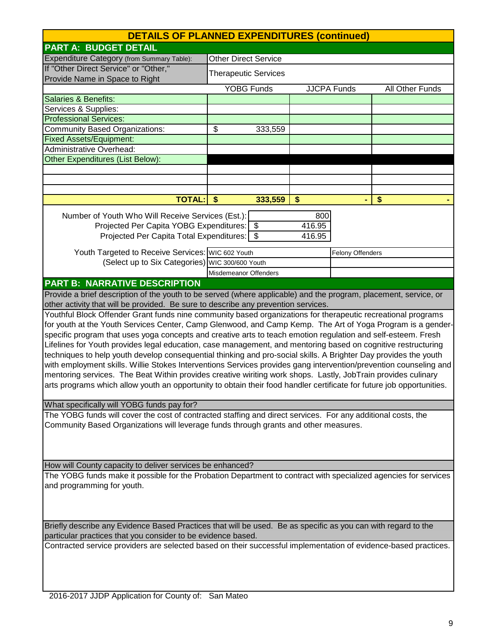| <b>DETAILS OF PLANNED EXPENDITURES (continued)</b>                                                                                                                                                                                                                                                                                                                                                                                                                                                                                                                                                                                                                                                                                                                                                                                                                                                                                              |                             |                   |                         |                    |                 |
|-------------------------------------------------------------------------------------------------------------------------------------------------------------------------------------------------------------------------------------------------------------------------------------------------------------------------------------------------------------------------------------------------------------------------------------------------------------------------------------------------------------------------------------------------------------------------------------------------------------------------------------------------------------------------------------------------------------------------------------------------------------------------------------------------------------------------------------------------------------------------------------------------------------------------------------------------|-----------------------------|-------------------|-------------------------|--------------------|-----------------|
| <b>PART A: BUDGET DETAIL</b>                                                                                                                                                                                                                                                                                                                                                                                                                                                                                                                                                                                                                                                                                                                                                                                                                                                                                                                    |                             |                   |                         |                    |                 |
| Expenditure Category (from Summary Table):                                                                                                                                                                                                                                                                                                                                                                                                                                                                                                                                                                                                                                                                                                                                                                                                                                                                                                      | <b>Other Direct Service</b> |                   |                         |                    |                 |
| If "Other Direct Service" or "Other,"<br>Provide Name in Space to Right                                                                                                                                                                                                                                                                                                                                                                                                                                                                                                                                                                                                                                                                                                                                                                                                                                                                         | <b>Therapeutic Services</b> |                   |                         |                    |                 |
|                                                                                                                                                                                                                                                                                                                                                                                                                                                                                                                                                                                                                                                                                                                                                                                                                                                                                                                                                 |                             | <b>YOBG Funds</b> |                         | <b>JJCPA Funds</b> | All Other Funds |
| Salaries & Benefits:                                                                                                                                                                                                                                                                                                                                                                                                                                                                                                                                                                                                                                                                                                                                                                                                                                                                                                                            |                             |                   |                         |                    |                 |
| Services & Supplies:                                                                                                                                                                                                                                                                                                                                                                                                                                                                                                                                                                                                                                                                                                                                                                                                                                                                                                                            |                             |                   |                         |                    |                 |
| <b>Professional Services:</b>                                                                                                                                                                                                                                                                                                                                                                                                                                                                                                                                                                                                                                                                                                                                                                                                                                                                                                                   |                             |                   |                         |                    |                 |
| Community Based Organizations:                                                                                                                                                                                                                                                                                                                                                                                                                                                                                                                                                                                                                                                                                                                                                                                                                                                                                                                  | \$                          | 333,559           |                         |                    |                 |
| <b>Fixed Assets/Equipment:</b>                                                                                                                                                                                                                                                                                                                                                                                                                                                                                                                                                                                                                                                                                                                                                                                                                                                                                                                  |                             |                   |                         |                    |                 |
| <b>Administrative Overhead:</b>                                                                                                                                                                                                                                                                                                                                                                                                                                                                                                                                                                                                                                                                                                                                                                                                                                                                                                                 |                             |                   |                         |                    |                 |
| <b>Other Expenditures (List Below):</b>                                                                                                                                                                                                                                                                                                                                                                                                                                                                                                                                                                                                                                                                                                                                                                                                                                                                                                         |                             |                   |                         |                    |                 |
|                                                                                                                                                                                                                                                                                                                                                                                                                                                                                                                                                                                                                                                                                                                                                                                                                                                                                                                                                 |                             |                   |                         |                    |                 |
|                                                                                                                                                                                                                                                                                                                                                                                                                                                                                                                                                                                                                                                                                                                                                                                                                                                                                                                                                 |                             |                   |                         |                    |                 |
|                                                                                                                                                                                                                                                                                                                                                                                                                                                                                                                                                                                                                                                                                                                                                                                                                                                                                                                                                 |                             |                   |                         |                    |                 |
| <b>TOTAL:</b>                                                                                                                                                                                                                                                                                                                                                                                                                                                                                                                                                                                                                                                                                                                                                                                                                                                                                                                                   | $\sqrt{5}$                  | 333,559           | \$                      |                    | \$              |
| Number of Youth Who Will Receive Services (Est.):<br>Projected Per Capita YOBG Expenditures: \$<br>Projected Per Capita Total Expenditures:   \$                                                                                                                                                                                                                                                                                                                                                                                                                                                                                                                                                                                                                                                                                                                                                                                                |                             |                   | 800<br>416.95<br>416.95 |                    |                 |
|                                                                                                                                                                                                                                                                                                                                                                                                                                                                                                                                                                                                                                                                                                                                                                                                                                                                                                                                                 |                             |                   |                         |                    |                 |
| Youth Targeted to Receive Services: WIC 602 Youth                                                                                                                                                                                                                                                                                                                                                                                                                                                                                                                                                                                                                                                                                                                                                                                                                                                                                               |                             |                   |                         | Felony Offenders   |                 |
| (Select up to Six Categories) WIC 300/600 Youth                                                                                                                                                                                                                                                                                                                                                                                                                                                                                                                                                                                                                                                                                                                                                                                                                                                                                                 |                             |                   |                         |                    |                 |
|                                                                                                                                                                                                                                                                                                                                                                                                                                                                                                                                                                                                                                                                                                                                                                                                                                                                                                                                                 | Misdemeanor Offenders       |                   |                         |                    |                 |
| <b>PART B: NARRATIVE DESCRIPTION</b>                                                                                                                                                                                                                                                                                                                                                                                                                                                                                                                                                                                                                                                                                                                                                                                                                                                                                                            |                             |                   |                         |                    |                 |
| Provide a brief description of the youth to be served (where applicable) and the program, placement, service, or<br>other activity that will be provided. Be sure to describe any prevention services.                                                                                                                                                                                                                                                                                                                                                                                                                                                                                                                                                                                                                                                                                                                                          |                             |                   |                         |                    |                 |
| Youthful Block Offender Grant funds nine community based organizations for therapeutic recreational programs<br>for youth at the Youth Services Center, Camp Glenwood, and Camp Kemp. The Art of Yoga Program is a gender-<br>specific program that uses yoga concepts and creative arts to teach emotion regulation and self-esteem. Fresh<br>Lifelines for Youth provides legal education, case management, and mentoring based on cognitive restructuring<br>techniques to help youth develop consequential thinking and pro-social skills. A Brighter Day provides the youth<br>with employment skills. Willie Stokes Interventions Services provides gang intervention/prevention counseling and<br>mentoring services. The Beat Within provides creative wiriting work shops. Lastly, JobTrain provides culinary<br>arts programs which allow youth an opportunity to obtain their food handler certificate for future job opportunities. |                             |                   |                         |                    |                 |
| What specifically will YOBG funds pay for?                                                                                                                                                                                                                                                                                                                                                                                                                                                                                                                                                                                                                                                                                                                                                                                                                                                                                                      |                             |                   |                         |                    |                 |
| The YOBG funds will cover the cost of contracted staffing and direct services. For any additional costs, the<br>Community Based Organizations will leverage funds through grants and other measures.                                                                                                                                                                                                                                                                                                                                                                                                                                                                                                                                                                                                                                                                                                                                            |                             |                   |                         |                    |                 |
| How will County capacity to deliver services be enhanced?                                                                                                                                                                                                                                                                                                                                                                                                                                                                                                                                                                                                                                                                                                                                                                                                                                                                                       |                             |                   |                         |                    |                 |
| The YOBG funds make it possible for the Probation Department to contract with specialized agencies for services<br>and programming for youth.                                                                                                                                                                                                                                                                                                                                                                                                                                                                                                                                                                                                                                                                                                                                                                                                   |                             |                   |                         |                    |                 |
| Briefly describe any Evidence Based Practices that will be used. Be as specific as you can with regard to the                                                                                                                                                                                                                                                                                                                                                                                                                                                                                                                                                                                                                                                                                                                                                                                                                                   |                             |                   |                         |                    |                 |
| particular practices that you consider to be evidence based.<br>Contracted service providers are selected based on their successful implementation of evidence-based practices.                                                                                                                                                                                                                                                                                                                                                                                                                                                                                                                                                                                                                                                                                                                                                                 |                             |                   |                         |                    |                 |
|                                                                                                                                                                                                                                                                                                                                                                                                                                                                                                                                                                                                                                                                                                                                                                                                                                                                                                                                                 |                             |                   |                         |                    |                 |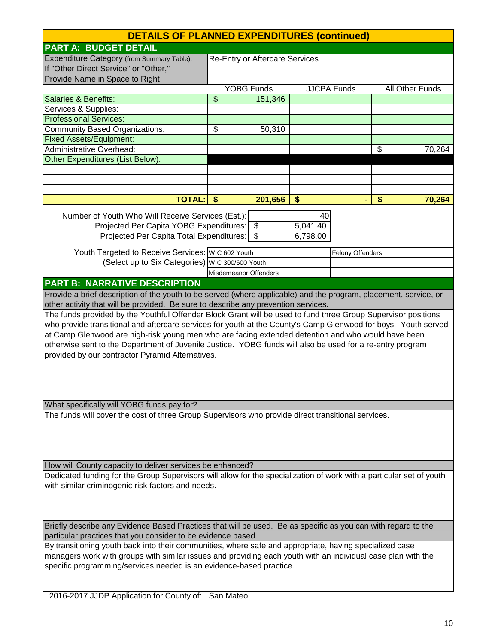| <b>DETAILS OF PLANNED EXPENDITURES (continued)</b>                                                                                                                            |      |                                       |                      |                    |    |                 |
|-------------------------------------------------------------------------------------------------------------------------------------------------------------------------------|------|---------------------------------------|----------------------|--------------------|----|-----------------|
| <b>PART A: BUDGET DETAIL</b>                                                                                                                                                  |      |                                       |                      |                    |    |                 |
| Expenditure Category (from Summary Table):                                                                                                                                    |      | <b>Re-Entry or Aftercare Services</b> |                      |                    |    |                 |
| If "Other Direct Service" or "Other,"                                                                                                                                         |      |                                       |                      |                    |    |                 |
| Provide Name in Space to Right                                                                                                                                                |      |                                       |                      |                    |    |                 |
|                                                                                                                                                                               |      | <b>YOBG Funds</b>                     |                      | <b>JJCPA Funds</b> |    | All Other Funds |
| <b>Salaries &amp; Benefits:</b>                                                                                                                                               | \$   | 151,346                               |                      |                    |    |                 |
| Services & Supplies:                                                                                                                                                          |      |                                       |                      |                    |    |                 |
| <b>Professional Services:</b>                                                                                                                                                 |      |                                       |                      |                    |    |                 |
| <b>Community Based Organizations:</b>                                                                                                                                         | \$   | 50,310                                |                      |                    |    |                 |
| <b>Fixed Assets/Equipment:</b>                                                                                                                                                |      |                                       |                      |                    |    |                 |
| <b>Administrative Overhead:</b>                                                                                                                                               |      |                                       |                      |                    | \$ | 70,264          |
| <b>Other Expenditures (List Below):</b>                                                                                                                                       |      |                                       |                      |                    |    |                 |
|                                                                                                                                                                               |      |                                       |                      |                    |    |                 |
|                                                                                                                                                                               |      |                                       |                      |                    |    |                 |
| <b>TOTAL:</b>                                                                                                                                                                 | - \$ | 201,656                               | \$                   |                    | \$ | 70,264          |
|                                                                                                                                                                               |      |                                       |                      |                    |    |                 |
| Number of Youth Who Will Receive Services (Est.):<br>Projected Per Capita YOBG Expenditures: \$                                                                               |      |                                       | 40                   |                    |    |                 |
| Projected Per Capita Total Expenditures: \$                                                                                                                                   |      |                                       | 5,041.40<br>6,798.00 |                    |    |                 |
|                                                                                                                                                                               |      |                                       |                      |                    |    |                 |
| Youth Targeted to Receive Services: WIC 602 Youth                                                                                                                             |      |                                       |                      | Felony Offenders   |    |                 |
| (Select up to Six Categories) WIC 300/600 Youth                                                                                                                               |      |                                       |                      |                    |    |                 |
|                                                                                                                                                                               |      | Misdemeanor Offenders                 |                      |                    |    |                 |
| <b>PART B: NARRATIVE DESCRIPTION</b>                                                                                                                                          |      |                                       |                      |                    |    |                 |
| Provide a brief description of the youth to be served (where applicable) and the program, placement, service, or                                                              |      |                                       |                      |                    |    |                 |
| other activity that will be provided. Be sure to describe any prevention services.                                                                                            |      |                                       |                      |                    |    |                 |
| The funds provided by the Youthful Offender Block Grant will be used to fund three Group Supervisor positions                                                                 |      |                                       |                      |                    |    |                 |
| who provide transitional and aftercare services for youth at the County's Camp Glenwood for boys. Youth served                                                                |      |                                       |                      |                    |    |                 |
| at Camp Glenwood are high-risk young men who are facing extended detention and who would have been                                                                            |      |                                       |                      |                    |    |                 |
| otherwise sent to the Department of Juvenile Justice. YOBG funds will also be used for a re-entry program                                                                     |      |                                       |                      |                    |    |                 |
| provided by our contractor Pyramid Alternatives.                                                                                                                              |      |                                       |                      |                    |    |                 |
|                                                                                                                                                                               |      |                                       |                      |                    |    |                 |
|                                                                                                                                                                               |      |                                       |                      |                    |    |                 |
|                                                                                                                                                                               |      |                                       |                      |                    |    |                 |
| What specifically will YOBG funds pay for?                                                                                                                                    |      |                                       |                      |                    |    |                 |
| The funds will cover the cost of three Group Supervisors who provide direct transitional services.                                                                            |      |                                       |                      |                    |    |                 |
|                                                                                                                                                                               |      |                                       |                      |                    |    |                 |
|                                                                                                                                                                               |      |                                       |                      |                    |    |                 |
|                                                                                                                                                                               |      |                                       |                      |                    |    |                 |
|                                                                                                                                                                               |      |                                       |                      |                    |    |                 |
| How will County capacity to deliver services be enhanced?                                                                                                                     |      |                                       |                      |                    |    |                 |
| Dedicated funding for the Group Supervisors will allow for the specialization of work with a particular set of youth                                                          |      |                                       |                      |                    |    |                 |
| with similar criminogenic risk factors and needs.                                                                                                                             |      |                                       |                      |                    |    |                 |
|                                                                                                                                                                               |      |                                       |                      |                    |    |                 |
|                                                                                                                                                                               |      |                                       |                      |                    |    |                 |
|                                                                                                                                                                               |      |                                       |                      |                    |    |                 |
| Briefly describe any Evidence Based Practices that will be used. Be as specific as you can with regard to the<br>particular practices that you consider to be evidence based. |      |                                       |                      |                    |    |                 |
| By transitioning youth back into their communities, where safe and appropriate, having specialized case                                                                       |      |                                       |                      |                    |    |                 |
| managers work with groups with similar issues and providing each youth with an individual case plan with the                                                                  |      |                                       |                      |                    |    |                 |
| specific programming/services needed is an evidence-based practice.                                                                                                           |      |                                       |                      |                    |    |                 |
|                                                                                                                                                                               |      |                                       |                      |                    |    |                 |
|                                                                                                                                                                               |      |                                       |                      |                    |    |                 |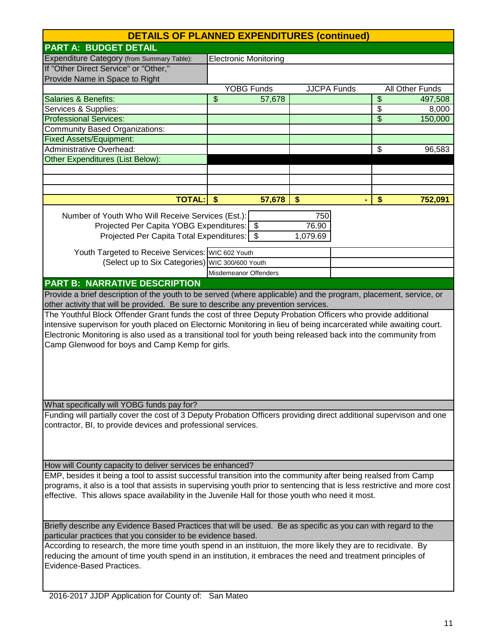| <b>DETAILS OF PLANNED EXPENDITURES (continued)</b>                                                                       |    |                              |          |                    |                          |                 |
|--------------------------------------------------------------------------------------------------------------------------|----|------------------------------|----------|--------------------|--------------------------|-----------------|
| <b>PART A: BUDGET DETAIL</b>                                                                                             |    |                              |          |                    |                          |                 |
| Expenditure Category (from Summary Table):                                                                               |    | <b>Electronic Monitoring</b> |          |                    |                          |                 |
| If "Other Direct Service" or "Other,"                                                                                    |    |                              |          |                    |                          |                 |
| Provide Name in Space to Right                                                                                           |    |                              |          |                    |                          |                 |
|                                                                                                                          |    | <b>YOBG Funds</b>            |          | <b>JJCPA Funds</b> |                          | All Other Funds |
| <b>Salaries &amp; Benefits:</b>                                                                                          | \$ | 57,678                       |          |                    | $\overline{\mathbf{S}}$  | 497,508         |
| Services & Supplies:                                                                                                     |    |                              |          |                    | $\overline{\$}$          | 8,000           |
| <b>Professional Services:</b>                                                                                            |    |                              |          |                    | $\overline{\mathcal{S}}$ | 150,000         |
| <b>Community Based Organizations:</b>                                                                                    |    |                              |          |                    |                          |                 |
| <b>Fixed Assets/Equipment:</b>                                                                                           |    |                              |          |                    |                          |                 |
| <b>Administrative Overhead:</b>                                                                                          |    |                              |          |                    | \$                       | 96,583          |
| <b>Other Expenditures (List Below):</b>                                                                                  |    |                              |          |                    |                          |                 |
|                                                                                                                          |    |                              |          |                    |                          |                 |
|                                                                                                                          |    |                              |          |                    |                          |                 |
|                                                                                                                          |    |                              |          |                    |                          |                 |
| <b>TOTAL:</b>                                                                                                            | \$ | 57,678                       | \$       |                    | \$                       | 752,091         |
| Number of Youth Who Will Receive Services (Est.):                                                                        |    |                              | 750      |                    |                          |                 |
| Projected Per Capita YOBG Expenditures: \$                                                                               |    |                              | 76.90    |                    |                          |                 |
| Projected Per Capita Total Expenditures:   \$                                                                            |    |                              | 1,079.69 |                    |                          |                 |
|                                                                                                                          |    |                              |          |                    |                          |                 |
| Youth Targeted to Receive Services: WIC 602 Youth                                                                        |    |                              |          |                    |                          |                 |
| (Select up to Six Categories) WIC 300/600 Youth                                                                          |    |                              |          |                    |                          |                 |
|                                                                                                                          |    | Misdemeanor Offenders        |          |                    |                          |                 |
| <b>PART B: NARRATIVE DESCRIPTION</b>                                                                                     |    |                              |          |                    |                          |                 |
| Provide a brief description of the youth to be served (where applicable) and the program, placement, service, or         |    |                              |          |                    |                          |                 |
| other activity that will be provided. Be sure to describe any prevention services.                                       |    |                              |          |                    |                          |                 |
| The Youthful Block Offender Grant funds the cost of three Deputy Probation Officers who provide additional               |    |                              |          |                    |                          |                 |
| intensive supervison for youth placed on Electornic Monitoring in lieu of being incarcerated while awaiting court.       |    |                              |          |                    |                          |                 |
| Electronic Monitoring is also used as a transitional tool for youth being released back into the community from          |    |                              |          |                    |                          |                 |
| Camp Glenwood for boys and Camp Kemp for girls.                                                                          |    |                              |          |                    |                          |                 |
|                                                                                                                          |    |                              |          |                    |                          |                 |
|                                                                                                                          |    |                              |          |                    |                          |                 |
|                                                                                                                          |    |                              |          |                    |                          |                 |
|                                                                                                                          |    |                              |          |                    |                          |                 |
|                                                                                                                          |    |                              |          |                    |                          |                 |
| What specifically will YOBG funds pay for?                                                                               |    |                              |          |                    |                          |                 |
| Funding will partially cover the cost of 3 Deputy Probation Officers providing direct additional supervison and one      |    |                              |          |                    |                          |                 |
| contractor, BI, to provide devices and professional services.                                                            |    |                              |          |                    |                          |                 |
|                                                                                                                          |    |                              |          |                    |                          |                 |
|                                                                                                                          |    |                              |          |                    |                          |                 |
|                                                                                                                          |    |                              |          |                    |                          |                 |
| How will County capacity to deliver services be enhanced?                                                                |    |                              |          |                    |                          |                 |
| EMP, besides it being a tool to assist successful transition into the community after being realsed from Camp            |    |                              |          |                    |                          |                 |
| programs, it also is a tool that assists in supervising youth prior to sentencing that is less restrictive and more cost |    |                              |          |                    |                          |                 |
| effective. This allows space availability in the Juvenile Hall for those youth who need it most.                         |    |                              |          |                    |                          |                 |
|                                                                                                                          |    |                              |          |                    |                          |                 |
|                                                                                                                          |    |                              |          |                    |                          |                 |
| Briefly describe any Evidence Based Practices that will be used. Be as specific as you can with regard to the            |    |                              |          |                    |                          |                 |
| particular practices that you consider to be evidence based.                                                             |    |                              |          |                    |                          |                 |
| According to research, the more time youth spend in an instituion, the more likely they are to recidivate. By            |    |                              |          |                    |                          |                 |
| reducing the amount of time youth spend in an institution, it embraces the need and treatment principles of              |    |                              |          |                    |                          |                 |
| Evidence-Based Practices.                                                                                                |    |                              |          |                    |                          |                 |
|                                                                                                                          |    |                              |          |                    |                          |                 |
|                                                                                                                          |    |                              |          |                    |                          |                 |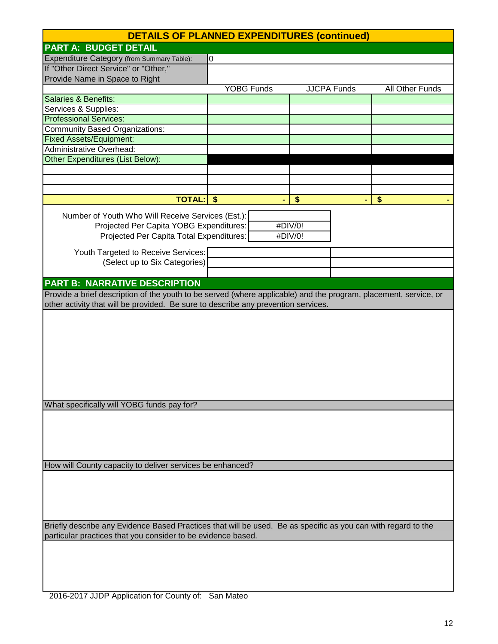|                                                                                                                  | <b>DETAILS OF PLANNED EXPENDITURES (continued)</b> |                    |                 |  |  |  |
|------------------------------------------------------------------------------------------------------------------|----------------------------------------------------|--------------------|-----------------|--|--|--|
| <b>PART A: BUDGET DETAIL</b>                                                                                     |                                                    |                    |                 |  |  |  |
| Expenditure Category (from Summary Table):                                                                       | 0                                                  |                    |                 |  |  |  |
| If "Other Direct Service" or "Other,"                                                                            |                                                    |                    |                 |  |  |  |
| Provide Name in Space to Right                                                                                   |                                                    |                    |                 |  |  |  |
|                                                                                                                  | <b>YOBG Funds</b>                                  | <b>JJCPA Funds</b> | All Other Funds |  |  |  |
| Salaries & Benefits:                                                                                             |                                                    |                    |                 |  |  |  |
| Services & Supplies:                                                                                             |                                                    |                    |                 |  |  |  |
| <b>Professional Services:</b>                                                                                    |                                                    |                    |                 |  |  |  |
| <b>Community Based Organizations:</b>                                                                            |                                                    |                    |                 |  |  |  |
| <b>Fixed Assets/Equipment:</b>                                                                                   |                                                    |                    |                 |  |  |  |
| <b>Administrative Overhead:</b>                                                                                  |                                                    |                    |                 |  |  |  |
| Other Expenditures (List Below):                                                                                 |                                                    |                    |                 |  |  |  |
|                                                                                                                  |                                                    |                    |                 |  |  |  |
|                                                                                                                  |                                                    |                    |                 |  |  |  |
|                                                                                                                  |                                                    |                    |                 |  |  |  |
| <b>TOTAL:</b>                                                                                                    | -\$                                                | \$                 | \$              |  |  |  |
| Number of Youth Who Will Receive Services (Est.):                                                                |                                                    |                    |                 |  |  |  |
| Projected Per Capita YOBG Expenditures:                                                                          |                                                    | #DIV/0!            |                 |  |  |  |
| Projected Per Capita Total Expenditures:                                                                         |                                                    | #DIV/0!            |                 |  |  |  |
|                                                                                                                  |                                                    |                    |                 |  |  |  |
| Youth Targeted to Receive Services:                                                                              |                                                    |                    |                 |  |  |  |
| (Select up to Six Categories)                                                                                    |                                                    |                    |                 |  |  |  |
|                                                                                                                  |                                                    |                    |                 |  |  |  |
| <b>PART B: NARRATIVE DESCRIPTION</b>                                                                             |                                                    |                    |                 |  |  |  |
| Provide a brief description of the youth to be served (where applicable) and the program, placement, service, or |                                                    |                    |                 |  |  |  |
| other activity that will be provided. Be sure to describe any prevention services.                               |                                                    |                    |                 |  |  |  |
|                                                                                                                  |                                                    |                    |                 |  |  |  |
|                                                                                                                  |                                                    |                    |                 |  |  |  |
|                                                                                                                  |                                                    |                    |                 |  |  |  |
|                                                                                                                  |                                                    |                    |                 |  |  |  |
|                                                                                                                  |                                                    |                    |                 |  |  |  |
|                                                                                                                  |                                                    |                    |                 |  |  |  |
|                                                                                                                  |                                                    |                    |                 |  |  |  |
|                                                                                                                  |                                                    |                    |                 |  |  |  |
|                                                                                                                  |                                                    |                    |                 |  |  |  |
| What specifically will YOBG funds pay for?                                                                       |                                                    |                    |                 |  |  |  |
|                                                                                                                  |                                                    |                    |                 |  |  |  |
|                                                                                                                  |                                                    |                    |                 |  |  |  |
|                                                                                                                  |                                                    |                    |                 |  |  |  |
|                                                                                                                  |                                                    |                    |                 |  |  |  |
|                                                                                                                  |                                                    |                    |                 |  |  |  |
| How will County capacity to deliver services be enhanced?                                                        |                                                    |                    |                 |  |  |  |
|                                                                                                                  |                                                    |                    |                 |  |  |  |
|                                                                                                                  |                                                    |                    |                 |  |  |  |
|                                                                                                                  |                                                    |                    |                 |  |  |  |
|                                                                                                                  |                                                    |                    |                 |  |  |  |
| Briefly describe any Evidence Based Practices that will be used. Be as specific as you can with regard to the    |                                                    |                    |                 |  |  |  |
| particular practices that you consider to be evidence based.                                                     |                                                    |                    |                 |  |  |  |
|                                                                                                                  |                                                    |                    |                 |  |  |  |
|                                                                                                                  |                                                    |                    |                 |  |  |  |
|                                                                                                                  |                                                    |                    |                 |  |  |  |
|                                                                                                                  |                                                    |                    |                 |  |  |  |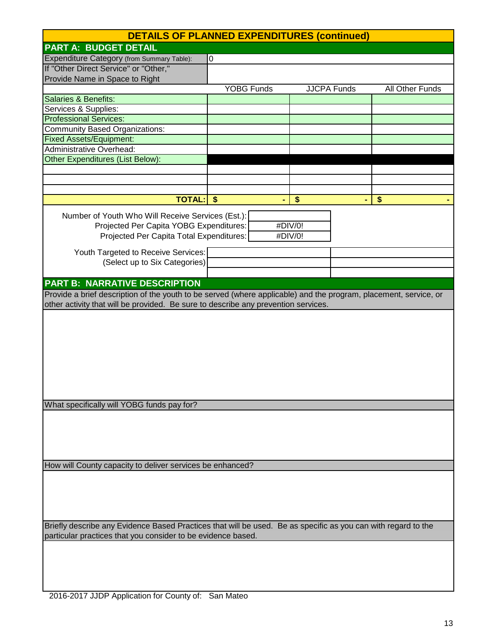|                                                                                                                  | <b>DETAILS OF PLANNED EXPENDITURES (continued)</b> |                    |                 |  |  |  |
|------------------------------------------------------------------------------------------------------------------|----------------------------------------------------|--------------------|-----------------|--|--|--|
| <b>PART A: BUDGET DETAIL</b>                                                                                     |                                                    |                    |                 |  |  |  |
| Expenditure Category (from Summary Table):                                                                       | 0                                                  |                    |                 |  |  |  |
| If "Other Direct Service" or "Other,"                                                                            |                                                    |                    |                 |  |  |  |
| Provide Name in Space to Right                                                                                   |                                                    |                    |                 |  |  |  |
|                                                                                                                  | <b>YOBG Funds</b>                                  | <b>JJCPA Funds</b> | All Other Funds |  |  |  |
| Salaries & Benefits:                                                                                             |                                                    |                    |                 |  |  |  |
| Services & Supplies:                                                                                             |                                                    |                    |                 |  |  |  |
| <b>Professional Services:</b>                                                                                    |                                                    |                    |                 |  |  |  |
| <b>Community Based Organizations:</b>                                                                            |                                                    |                    |                 |  |  |  |
| <b>Fixed Assets/Equipment:</b>                                                                                   |                                                    |                    |                 |  |  |  |
| <b>Administrative Overhead:</b>                                                                                  |                                                    |                    |                 |  |  |  |
| Other Expenditures (List Below):                                                                                 |                                                    |                    |                 |  |  |  |
|                                                                                                                  |                                                    |                    |                 |  |  |  |
|                                                                                                                  |                                                    |                    |                 |  |  |  |
|                                                                                                                  |                                                    |                    |                 |  |  |  |
| <b>TOTAL:</b>                                                                                                    | -\$                                                | $\frac{1}{2}$      | \$              |  |  |  |
| Number of Youth Who Will Receive Services (Est.):                                                                |                                                    |                    |                 |  |  |  |
| Projected Per Capita YOBG Expenditures:                                                                          |                                                    | #DIV/0!            |                 |  |  |  |
| Projected Per Capita Total Expenditures:                                                                         |                                                    | #DIV/0!            |                 |  |  |  |
|                                                                                                                  |                                                    |                    |                 |  |  |  |
| Youth Targeted to Receive Services:                                                                              |                                                    |                    |                 |  |  |  |
| (Select up to Six Categories)                                                                                    |                                                    |                    |                 |  |  |  |
|                                                                                                                  |                                                    |                    |                 |  |  |  |
| <b>PART B: NARRATIVE DESCRIPTION</b>                                                                             |                                                    |                    |                 |  |  |  |
| Provide a brief description of the youth to be served (where applicable) and the program, placement, service, or |                                                    |                    |                 |  |  |  |
| other activity that will be provided. Be sure to describe any prevention services.                               |                                                    |                    |                 |  |  |  |
|                                                                                                                  |                                                    |                    |                 |  |  |  |
|                                                                                                                  |                                                    |                    |                 |  |  |  |
|                                                                                                                  |                                                    |                    |                 |  |  |  |
|                                                                                                                  |                                                    |                    |                 |  |  |  |
|                                                                                                                  |                                                    |                    |                 |  |  |  |
|                                                                                                                  |                                                    |                    |                 |  |  |  |
|                                                                                                                  |                                                    |                    |                 |  |  |  |
|                                                                                                                  |                                                    |                    |                 |  |  |  |
|                                                                                                                  |                                                    |                    |                 |  |  |  |
| What specifically will YOBG funds pay for?                                                                       |                                                    |                    |                 |  |  |  |
|                                                                                                                  |                                                    |                    |                 |  |  |  |
|                                                                                                                  |                                                    |                    |                 |  |  |  |
|                                                                                                                  |                                                    |                    |                 |  |  |  |
|                                                                                                                  |                                                    |                    |                 |  |  |  |
|                                                                                                                  |                                                    |                    |                 |  |  |  |
| How will County capacity to deliver services be enhanced?                                                        |                                                    |                    |                 |  |  |  |
|                                                                                                                  |                                                    |                    |                 |  |  |  |
|                                                                                                                  |                                                    |                    |                 |  |  |  |
|                                                                                                                  |                                                    |                    |                 |  |  |  |
|                                                                                                                  |                                                    |                    |                 |  |  |  |
| Briefly describe any Evidence Based Practices that will be used. Be as specific as you can with regard to the    |                                                    |                    |                 |  |  |  |
| particular practices that you consider to be evidence based.                                                     |                                                    |                    |                 |  |  |  |
|                                                                                                                  |                                                    |                    |                 |  |  |  |
|                                                                                                                  |                                                    |                    |                 |  |  |  |
|                                                                                                                  |                                                    |                    |                 |  |  |  |
|                                                                                                                  |                                                    |                    |                 |  |  |  |